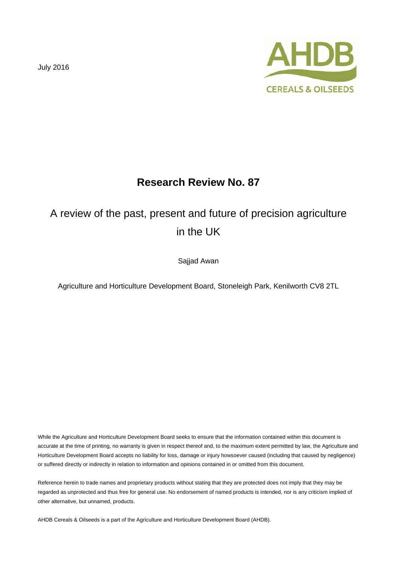July 2016



## **Research Review No. 87**

# A review of the past, present and future of precision agriculture in the UK

Sajjad Awan

Agriculture and Horticulture Development Board, Stoneleigh Park, Kenilworth CV8 2TL

While the Agriculture and Horticulture Development Board seeks to ensure that the information contained within this document is accurate at the time of printing, no warranty is given in respect thereof and, to the maximum extent permitted by law, the Agriculture and Horticulture Development Board accepts no liability for loss, damage or injury howsoever caused (including that caused by negligence) or suffered directly or indirectly in relation to information and opinions contained in or omitted from this document.

Reference herein to trade names and proprietary products without stating that they are protected does not imply that they may be regarded as unprotected and thus free for general use. No endorsement of named products is intended, nor is any criticism implied of other alternative, but unnamed, products.

AHDB Cereals & Oilseeds is a part of the Agriculture and Horticulture Development Board (AHDB).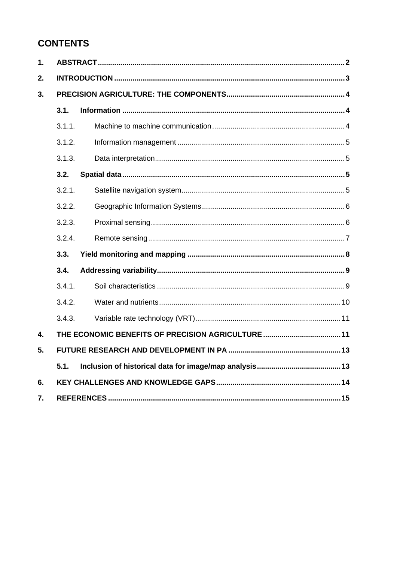## **CONTENTS**

| 1. |        |  |  |
|----|--------|--|--|
| 2. |        |  |  |
| 3. |        |  |  |
|    | 3.1.   |  |  |
|    | 3.1.1. |  |  |
|    | 3.1.2. |  |  |
|    | 3.1.3. |  |  |
|    | 3.2.   |  |  |
|    | 3.2.1. |  |  |
|    | 3.2.2. |  |  |
|    | 3.2.3. |  |  |
|    | 3.2.4. |  |  |
|    | 3.3.   |  |  |
|    | 3.4.   |  |  |
|    | 3.4.1. |  |  |
|    | 3.4.2. |  |  |
|    | 3.4.3. |  |  |
| 4. |        |  |  |
| 5. |        |  |  |
|    | 5.1.   |  |  |
| 6. |        |  |  |
| 7. |        |  |  |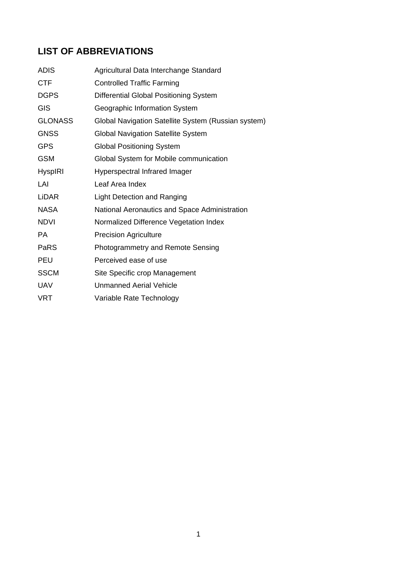## **LIST OF ABBREVIATIONS**

| <b>ADIS</b>    | Agricultural Data Interchange Standard              |
|----------------|-----------------------------------------------------|
| <b>CTF</b>     | <b>Controlled Traffic Farming</b>                   |
| <b>DGPS</b>    | <b>Differential Global Positioning System</b>       |
| <b>GIS</b>     | Geographic Information System                       |
| <b>GLONASS</b> | Global Navigation Satellite System (Russian system) |
| <b>GNSS</b>    | <b>Global Navigation Satellite System</b>           |
| <b>GPS</b>     | <b>Global Positioning System</b>                    |
| <b>GSM</b>     | Global System for Mobile communication              |
| <b>HyspIRI</b> | Hyperspectral Infrared Imager                       |
| LAI            | Leaf Area Index                                     |
| <b>LiDAR</b>   | <b>Light Detection and Ranging</b>                  |
| <b>NASA</b>    | National Aeronautics and Space Administration       |
| <b>NDVI</b>    | Normalized Difference Vegetation Index              |
| <b>PA</b>      | <b>Precision Agriculture</b>                        |
| PaRS           | Photogrammetry and Remote Sensing                   |
| <b>PEU</b>     | Perceived ease of use                               |
| <b>SSCM</b>    | Site Specific crop Management                       |
| <b>UAV</b>     | <b>Unmanned Aerial Vehicle</b>                      |
| <b>VRT</b>     | Variable Rate Technology                            |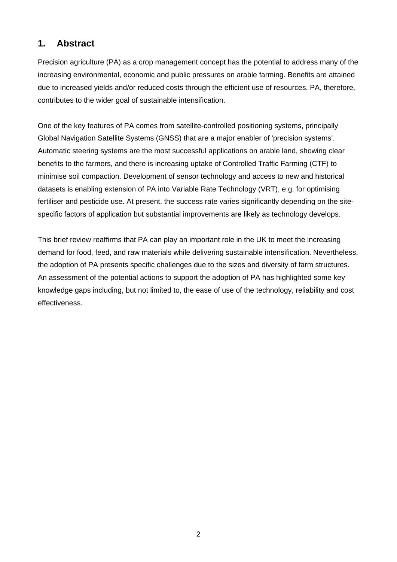## **1. Abstract**

Precision agriculture (PA) as a crop management concept has the potential to address many of the increasing environmental, economic and public pressures on arable farming. Benefits are attained due to increased yields and/or reduced costs through the efficient use of resources. PA, therefore, contributes to the wider goal of sustainable intensification.

One of the key features of PA comes from satellite-controlled positioning systems, principally Global Navigation Satellite Systems (GNSS) that are a major enabler of 'precision systems'. Automatic steering systems are the most successful applications on arable land, showing clear benefits to the farmers, and there is increasing uptake of Controlled Traffic Farming (CTF) to minimise soil compaction. Development of sensor technology and access to new and historical datasets is enabling extension of PA into Variable Rate Technology (VRT), e.g. for optimising fertiliser and pesticide use. At present, the success rate varies significantly depending on the sitespecific factors of application but substantial improvements are likely as technology develops.

This brief review reaffirms that PA can play an important role in the UK to meet the increasing demand for food, feed, and raw materials while delivering sustainable intensification. Nevertheless, the adoption of PA presents specific challenges due to the sizes and diversity of farm structures. An assessment of the potential actions to support the adoption of PA has highlighted some key knowledge gaps including, but not limited to, the ease of use of the technology, reliability and cost effectiveness.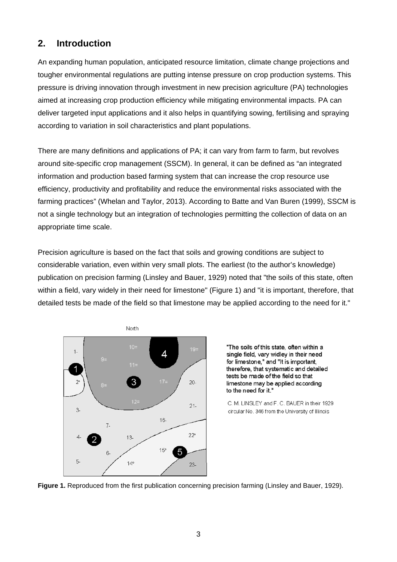## **2. Introduction**

An expanding human population, anticipated resource limitation, climate change projections and tougher environmental regulations are putting intense pressure on crop production systems. This pressure is driving innovation through investment in new precision agriculture (PA) technologies aimed at increasing crop production efficiency while mitigating environmental impacts. PA can deliver targeted input applications and it also helps in quantifying sowing, fertilising and spraying according to variation in soil characteristics and plant populations.

There are many definitions and applications of PA; it can vary from farm to farm, but revolves around site-specific crop management (SSCM). In general, it can be defined as "an integrated information and production based farming system that can increase the crop resource use efficiency, productivity and profitability and reduce the environmental risks associated with the farming practices" (Whelan and Taylor, 2013). According to Batte and Van Buren (1999), SSCM is not a single technology but an integration of technologies permitting the collection of data on an appropriate time scale.

Precision agriculture is based on the fact that soils and growing conditions are subject to considerable variation, even within very small plots. The earliest (to the author's knowledge) publication on precision farming (Linsley and Bauer, 1929) noted that "the soils of this state, often within a field, vary widely in their need for limestone" (Figure 1) and "it is important, therefore, that detailed tests be made of the field so that limestone may be applied according to the need for it."



"The soils of this state, often within a single field, vary widley in their need for limestone," and "It is important, therefore, that systematic and detailed tests be made of the field so that limestone may be applied according to the need for it."

C. M. LINSLEY and F. C. BAUER in their 1929 circular No. 346 from the University of Illinois

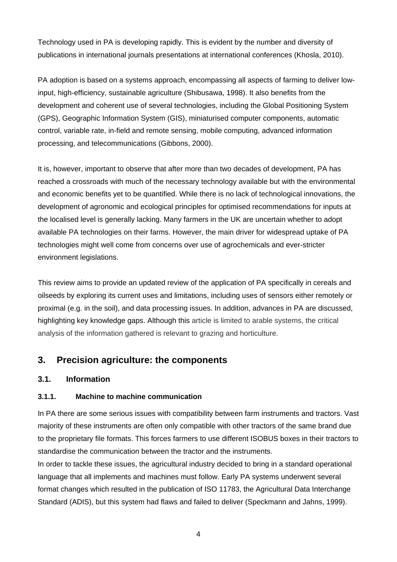Technology used in PA is developing rapidly. This is evident by the number and diversity of publications in international journals presentations at international conferences (Khosla, 2010).

PA adoption is based on a systems approach, encompassing all aspects of farming to deliver lowinput, high-efficiency, sustainable agriculture (Shibusawa, 1998). It also benefits from the development and coherent use of several technologies, including the Global Positioning System (GPS), Geographic Information System (GIS), miniaturised computer components, automatic control, variable rate, in-field and remote sensing, mobile computing, advanced information processing, and telecommunications (Gibbons, 2000).

It is, however, important to observe that after more than two decades of development, PA has reached a crossroads with much of the necessary technology available but with the environmental and economic benefits yet to be quantified. While there is no lack of technological innovations, the development of agronomic and ecological principles for optimised recommendations for inputs at the localised level is generally lacking. Many farmers in the UK are uncertain whether to adopt available PA technologies on their farms. However, the main driver for widespread uptake of PA technologies might well come from concerns over use of agrochemicals and ever-stricter environment legislations.

This review aims to provide an updated review of the application of PA specifically in cereals and oilseeds by exploring its current uses and limitations, including uses of sensors either remotely or proximal (e.g. in the soil), and data processing issues. In addition, advances in PA are discussed, highlighting key knowledge gaps. Although this article is limited to arable systems, the critical analysis of the information gathered is relevant to grazing and horticulture.

## **3. Precision agriculture: the components**

#### **3.1. Information**

#### **3.1.1. Machine to machine communication**

In PA there are some serious issues with compatibility between farm instruments and tractors. Vast majority of these instruments are often only compatible with other tractors of the same brand due to the proprietary file formats. This forces farmers to use different ISOBUS boxes in their tractors to standardise the communication between the tractor and the instruments.

In order to tackle these issues, the agricultural industry decided to bring in a standard operational language that all implements and machines must follow. Early PA systems underwent several format changes which resulted in the publication of ISO 11783, the Agricultural Data Interchange Standard (ADIS), but this system had flaws and failed to deliver (Speckmann and Jahns, 1999).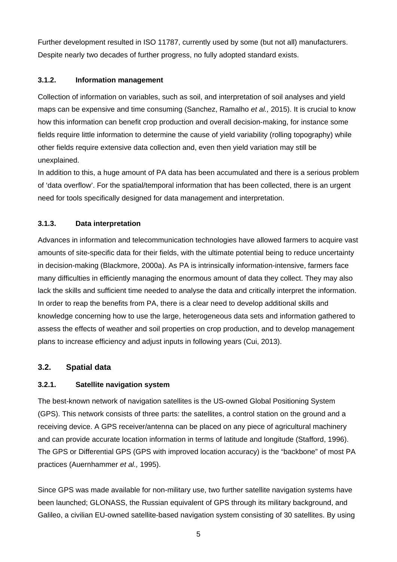Further development resulted in ISO 11787, currently used by some (but not all) manufacturers. Despite nearly two decades of further progress, no fully adopted standard exists.

#### **3.1.2. Information management**

Collection of information on variables, such as soil, and interpretation of soil analyses and yield maps can be expensive and time consuming (Sanchez, Ramalho *et al.,* 2015). It is crucial to know how this information can benefit crop production and overall decision-making, for instance some fields require little information to determine the cause of yield variability (rolling topography) while other fields require extensive data collection and, even then yield variation may still be unexplained.

In addition to this, a huge amount of PA data has been accumulated and there is a serious problem of 'data overflow'. For the spatial/temporal information that has been collected, there is an urgent need for tools specifically designed for data management and interpretation.

#### **3.1.3. Data interpretation**

Advances in information and telecommunication technologies have allowed farmers to acquire vast amounts of site-specific data for their fields, with the ultimate potential being to reduce uncertainty in decision-making (Blackmore, 2000a). As PA is intrinsically information-intensive, farmers face many difficulties in efficiently managing the enormous amount of data they collect. They may also lack the skills and sufficient time needed to analyse the data and critically interpret the information. In order to reap the benefits from PA, there is a clear need to develop additional skills and knowledge concerning how to use the large, heterogeneous data sets and information gathered to assess the effects of weather and soil properties on crop production, and to develop management plans to increase efficiency and adjust inputs in following years (Cui, 2013).

#### **3.2. Spatial data**

#### **3.2.1. Satellite navigation system**

The best-known network of navigation satellites is the US-owned Global Positioning System (GPS). This network consists of three parts: the satellites, a control station on the ground and a receiving device. A GPS receiver/antenna can be placed on any piece of agricultural machinery and can provide accurate location information in terms of latitude and longitude (Stafford, 1996). The GPS or Differential GPS (GPS with improved location accuracy) is the "backbone" of most PA practices (Auernhammer *et al.,* 1995).

Since GPS was made available for non-military use, two further satellite navigation systems have been launched; GLONASS, the Russian equivalent of GPS through its military background, and Galileo, a civilian EU-owned satellite-based navigation system consisting of 30 satellites. By using

5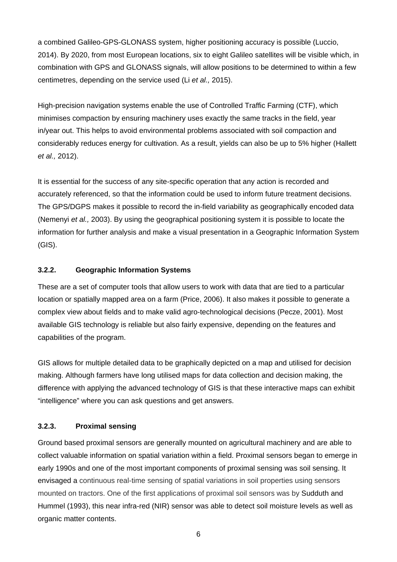a combined Galileo-GPS-GLONASS system, higher positioning accuracy is possible (Luccio, 2014). By 2020, from most European locations, six to eight Galileo satellites will be visible which, in combination with GPS and GLONASS signals, will allow positions to be determined to within a few centimetres, depending on the service used (Li *et al.,* 2015).

High-precision navigation systems enable the use of Controlled Traffic Farming (CTF), which minimises compaction by ensuring machinery uses exactly the same tracks in the field, year in/year out. This helps to avoid environmental problems associated with soil compaction and considerably reduces energy for cultivation. As a result, yields can also be up to 5% higher (Hallett *et al.,* 2012).

It is essential for the success of any site-specific operation that any action is recorded and accurately referenced, so that the information could be used to inform future treatment decisions. The GPS/DGPS makes it possible to record the in-field variability as geographically encoded data (Nemenyi *et al.,* 2003). By using the geographical positioning system it is possible to locate the information for further analysis and make a visual presentation in a Geographic Information System (GIS).

#### **3.2.2. Geographic Information Systems**

These are a set of computer tools that allow users to work with data that are tied to a particular location or spatially mapped area on a farm (Price, 2006). It also makes it possible to generate a complex view about fields and to make valid agro-technological decisions (Pecze, 2001). Most available GIS technology is reliable but also fairly expensive, depending on the features and capabilities of the program.

GIS allows for multiple detailed data to be graphically depicted on a map and utilised for decision making. Although farmers have long utilised maps for data collection and decision making, the difference with applying the advanced technology of GIS is that these interactive maps can exhibit "intelligence" where you can ask questions and get answers.

#### **3.2.3. Proximal sensing**

Ground based proximal sensors are generally mounted on agricultural machinery and are able to collect valuable information on spatial variation within a field. Proximal sensors began to emerge in early 1990s and one of the most important components of proximal sensing was soil sensing. It envisaged a continuous real-time sensing of spatial variations in soil properties using sensors mounted on tractors. One of the first applications of proximal soil sensors was by Sudduth and Hummel (1993), this near infra-red (NIR) sensor was able to detect soil moisture levels as well as organic matter contents.

6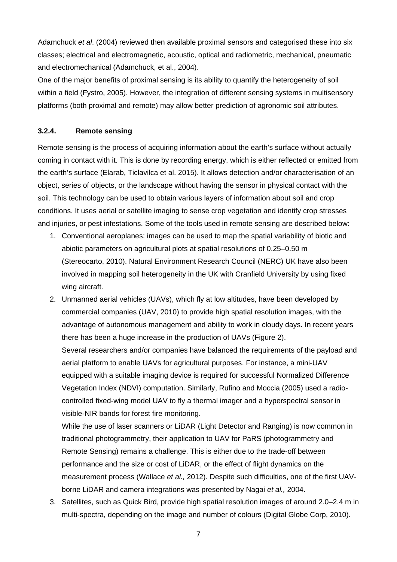Adamchuck *et al*. (2004) reviewed then available proximal sensors and categorised these into six classes; electrical and electromagnetic, acoustic, optical and radiometric, mechanical, pneumatic and electromechanical (Adamchuck, et al., 2004).

One of the major benefits of proximal sensing is its ability to quantify the heterogeneity of soil within a field (Fystro, 2005). However, the integration of different sensing systems in multisensory platforms (both proximal and remote) may allow better prediction of agronomic soil attributes.

#### **3.2.4. Remote sensing**

Remote sensing is the process of acquiring information about the earth's surface without actually coming in contact with it. This is done by recording energy, which is either reflected or emitted from the earth's surface (Elarab, Ticlavilca et al. 2015). It allows detection and/or characterisation of an object, series of objects, or the landscape without having the sensor in physical contact with the soil. This technology can be used to obtain various layers of information about soil and crop conditions. It uses aerial or satellite imaging to sense crop vegetation and identify crop stresses and injuries, or pest infestations. Some of the tools used in remote sensing are described below:

- 1. Conventional aeroplanes: images can be used to map the spatial variability of biotic and abiotic parameters on agricultural plots at spatial resolutions of 0.25–0.50 m (Stereocarto, 2010). Natural Environment Research Council (NERC) UK have also been involved in mapping soil heterogeneity in the UK with Cranfield University by using fixed wing aircraft.
- 2. Unmanned aerial vehicles (UAVs), which fly at low altitudes, have been developed by commercial companies (UAV, 2010) to provide high spatial resolution images, with the advantage of autonomous management and ability to work in cloudy days. In recent years there has been a huge increase in the production of UAVs (Figure 2).

Several researchers and/or companies have balanced the requirements of the payload and aerial platform to enable UAVs for agricultural purposes. For instance, a mini-UAV equipped with a suitable imaging device is required for successful Normalized Difference Vegetation Index (NDVI) computation. Similarly, Rufino and Moccia (2005) used a radiocontrolled fixed-wing model UAV to fly a thermal imager and a hyperspectral sensor in visible-NIR bands for forest fire monitoring.

While the use of laser scanners or LiDAR (Light Detector and Ranging) is now common in traditional photogrammetry, their application to UAV for PaRS (photogrammetry and Remote Sensing) remains a challenge. This is either due to the trade-off between performance and the size or cost of LiDAR, or the effect of flight dynamics on the measurement process (Wallace *et al.,* 2012). Despite such difficulties, one of the first UAVborne LiDAR and camera integrations was presented by Nagai *et al.,* 2004.

3. Satellites, such as Quick Bird, provide high spatial resolution images of around 2.0–2.4 m in multi-spectra, depending on the image and number of colours (Digital Globe Corp, 2010).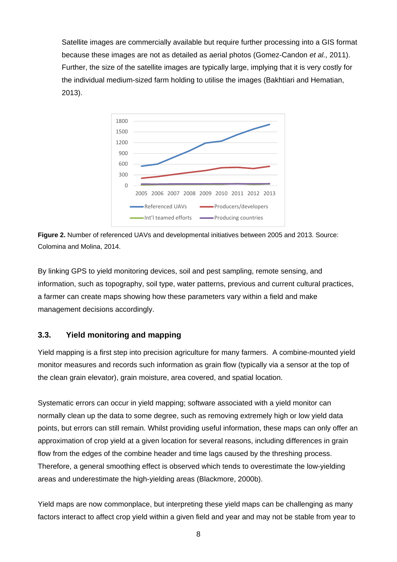Satellite images are commercially available but require further processing into a GIS format because these images are not as detailed as aerial photos (Gomez-Candon *et al.,* 2011). Further, the size of the satellite images are typically large, implying that it is very costly for the individual medium-sized farm holding to utilise the images (Bakhtiari and Hematian, 2013).



**Figure 2.** Number of referenced UAVs and developmental initiatives between 2005 and 2013. Source: Colomina and Molina, 2014.

By linking GPS to yield monitoring devices, soil and pest sampling, remote sensing, and information, such as topography, soil type, water patterns, previous and current cultural practices, a farmer can create maps showing how these parameters vary within a field and make management decisions accordingly.

#### **3.3. Yield monitoring and mapping**

Yield mapping is a first step into precision agriculture for many farmers. A combine-mounted yield monitor measures and records such information as grain flow (typically via a sensor at the top of the clean grain elevator), grain moisture, area covered, and spatial location.

Systematic errors can occur in yield mapping; software associated with a yield monitor can normally clean up the data to some degree, such as removing extremely high or low yield data points, but errors can still remain. Whilst providing useful information, these maps can only offer an approximation of crop yield at a given location for several reasons, including differences in grain flow from the edges of the combine header and time lags caused by the threshing process. Therefore, a general smoothing effect is observed which tends to overestimate the low-yielding areas and underestimate the high-yielding areas (Blackmore, 2000b).

Yield maps are now commonplace, but interpreting these yield maps can be challenging as many factors interact to affect crop yield within a given field and year and may not be stable from year to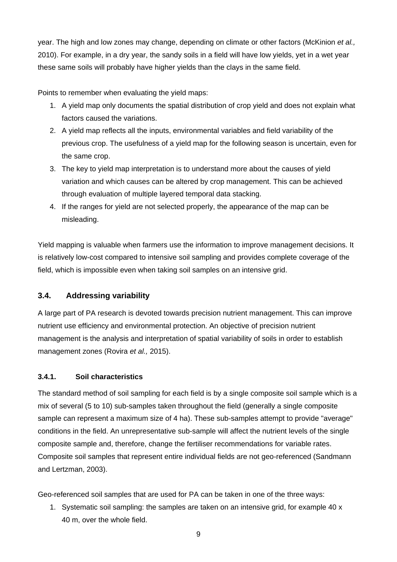year. The high and low zones may change, depending on climate or other factors (McKinion *et al.,*  2010). For example, in a dry year, the sandy soils in a field will have low yields, yet in a wet year these same soils will probably have higher yields than the clays in the same field.

Points to remember when evaluating the yield maps:

- 1. A yield map only documents the spatial distribution of crop yield and does not explain what factors caused the variations.
- 2. A yield map reflects all the inputs, environmental variables and field variability of the previous crop. The usefulness of a yield map for the following season is uncertain, even for the same crop.
- 3. The key to yield map interpretation is to understand more about the causes of yield variation and which causes can be altered by crop management. This can be achieved through evaluation of multiple layered temporal data stacking.
- 4. If the ranges for yield are not selected properly, the appearance of the map can be misleading.

Yield mapping is valuable when farmers use the information to improve management decisions. It is relatively low-cost compared to intensive soil sampling and provides complete coverage of the field, which is impossible even when taking soil samples on an intensive grid.

#### **3.4. Addressing variability**

A large part of PA research is devoted towards precision nutrient management. This can improve nutrient use efficiency and environmental protection. An objective of precision nutrient management is the analysis and interpretation of spatial variability of soils in order to establish management zones (Rovira *et al.,* 2015).

#### **3.4.1. Soil characteristics**

The standard method of soil sampling for each field is by a single composite soil sample which is a mix of several (5 to 10) sub-samples taken throughout the field (generally a single composite sample can represent a maximum size of 4 ha). These sub-samples attempt to provide "average" conditions in the field. An unrepresentative sub-sample will affect the nutrient levels of the single composite sample and, therefore, change the fertiliser recommendations for variable rates. Composite soil samples that represent entire individual fields are not geo-referenced (Sandmann and Lertzman, 2003).

Geo-referenced soil samples that are used for PA can be taken in one of the three ways:

1. Systematic soil sampling: the samples are taken on an intensive grid, for example 40 x 40 m, over the whole field.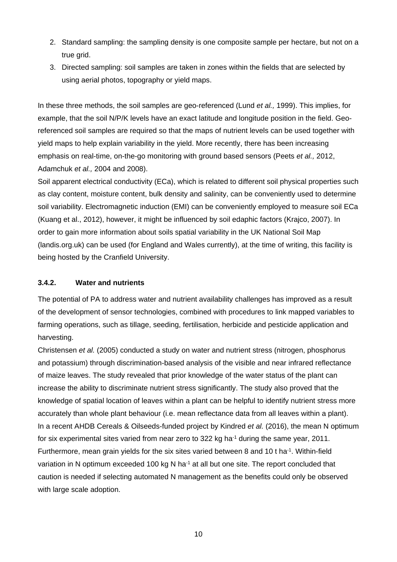- 2. Standard sampling: the sampling density is one composite sample per hectare, but not on a true grid.
- 3. Directed sampling: soil samples are taken in zones within the fields that are selected by using aerial photos, topography or yield maps.

In these three methods, the soil samples are geo-referenced (Lund *et al.,* 1999). This implies, for example, that the soil N/P/K levels have an exact latitude and longitude position in the field. Georeferenced soil samples are required so that the maps of nutrient levels can be used together with yield maps to help explain variability in the yield. More recently, there has been increasing emphasis on real-time, on-the-go monitoring with ground based sensors (Peets *et al.,* 2012, Adamchuk *et al.,* 2004 and 2008).

Soil apparent electrical conductivity (ECa), which is related to different soil physical properties such as clay content, moisture content, bulk density and salinity, can be conveniently used to determine soil variability. Electromagnetic induction (EMI) can be conveniently employed to measure soil ECa (Kuang et al., 2012), however, it might be influenced by soil edaphic factors (Krajco, 2007). In order to gain more information about soils spatial variability in the UK National Soil Map (landis.org.uk) can be used (for England and Wales currently), at the time of writing, this facility is being hosted by the Cranfield University.

#### **3.4.2. Water and nutrients**

The potential of PA to address water and nutrient availability challenges has improved as a result of the development of sensor technologies, combined with procedures to link mapped variables to farming operations, such as tillage, seeding, fertilisation, herbicide and pesticide application and harvesting.

Christensen *et al.* (2005) conducted a study on water and nutrient stress (nitrogen, phosphorus and potassium) through discrimination-based analysis of the visible and near infrared reflectance of maize leaves. The study revealed that prior knowledge of the water status of the plant can increase the ability to discriminate nutrient stress significantly. The study also proved that the knowledge of spatial location of leaves within a plant can be helpful to identify nutrient stress more accurately than whole plant behaviour (i.e. mean reflectance data from all leaves within a plant). In a recent AHDB Cereals & Oilseeds-funded project by Kindred *et al.* (2016), the mean N optimum for six experimental sites varied from near zero to 322 kg ha<sup>-1</sup> during the same year, 2011. Furthermore, mean grain yields for the six sites varied between 8 and 10 t ha<sup>-1</sup>. Within-field variation in N optimum exceeded 100 kg N ha<sup>-1</sup> at all but one site. The report concluded that caution is needed if selecting automated N management as the benefits could only be observed with large scale adoption.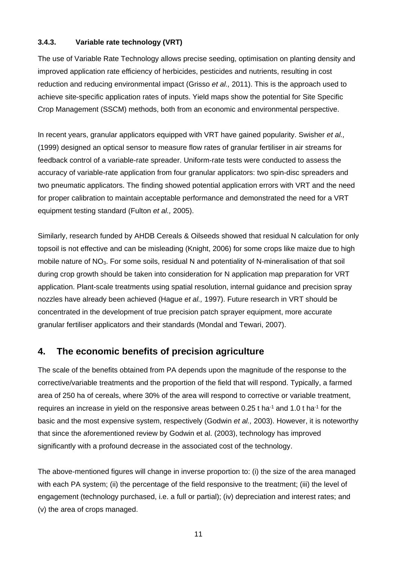#### **3.4.3. Variable rate technology (VRT)**

The use of Variable Rate Technology allows precise seeding, optimisation on planting density and improved application rate efficiency of herbicides, pesticides and nutrients, resulting in cost reduction and reducing environmental impact (Grisso *et al.,* 2011). This is the approach used to achieve site-specific application rates of inputs. Yield maps show the potential for Site Specific Crop Management (SSCM) methods, both from an economic and environmental perspective.

In recent years, granular applicators equipped with VRT have gained popularity. Swisher *et al.,* (1999) designed an optical sensor to measure flow rates of granular fertiliser in air streams for feedback control of a variable-rate spreader. Uniform-rate tests were conducted to assess the accuracy of variable-rate application from four granular applicators: two spin-disc spreaders and two pneumatic applicators. The finding showed potential application errors with VRT and the need for proper calibration to maintain acceptable performance and demonstrated the need for a VRT equipment testing standard (Fulton *et al.,* 2005).

Similarly, research funded by AHDB Cereals & Oilseeds showed that residual N calculation for only topsoil is not effective and can be misleading (Knight, 2006) for some crops like maize due to high mobile nature of  $NO<sub>3</sub>$ . For some soils, residual N and potentiality of N-mineralisation of that soil during crop growth should be taken into consideration for N application map preparation for VRT application. Plant-scale treatments using spatial resolution, internal guidance and precision spray nozzles have already been achieved (Hague *et al.,* 1997). Future research in VRT should be concentrated in the development of true precision patch sprayer equipment, more accurate granular fertiliser applicators and their standards (Mondal and Tewari, 2007).

### **4. The economic benefits of precision agriculture**

The scale of the benefits obtained from PA depends upon the magnitude of the response to the corrective/variable treatments and the proportion of the field that will respond. Typically, a farmed area of 250 ha of cereals, where 30% of the area will respond to corrective or variable treatment, requires an increase in yield on the responsive areas between 0.25 t ha<sup>-1</sup> and 1.0 t ha<sup>-1</sup> for the basic and the most expensive system, respectively (Godwin *et al.,* 2003). However, it is noteworthy that since the aforementioned review by Godwin et al. (2003), technology has improved significantly with a profound decrease in the associated cost of the technology.

The above-mentioned figures will change in inverse proportion to: (i) the size of the area managed with each PA system; (ii) the percentage of the field responsive to the treatment; (iii) the level of engagement (technology purchased, i.e. a full or partial); (iv) depreciation and interest rates; and (v) the area of crops managed.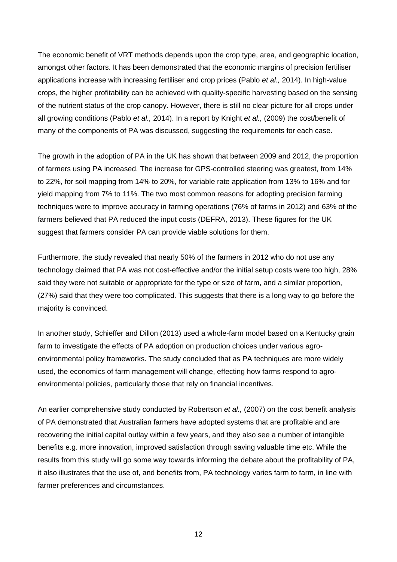The economic benefit of VRT methods depends upon the crop type, area, and geographic location, amongst other factors. It has been demonstrated that the economic margins of precision fertiliser applications increase with increasing fertiliser and crop prices (Pablo *et al.,* 2014). In high-value crops, the higher profitability can be achieved with quality-specific harvesting based on the sensing of the nutrient status of the crop canopy. However, there is still no clear picture for all crops under all growing conditions (Pablo *et al.,* 2014). In a report by Knight *et al.,* (2009) the cost/benefit of many of the components of PA was discussed, suggesting the requirements for each case.

The growth in the adoption of PA in the UK has shown that between 2009 and 2012, the proportion of farmers using PA increased. The increase for GPS-controlled steering was greatest, from 14% to 22%, for soil mapping from 14% to 20%, for variable rate application from 13% to 16% and for yield mapping from 7% to 11%. The two most common reasons for adopting precision farming techniques were to improve accuracy in farming operations (76% of farms in 2012) and 63% of the farmers believed that PA reduced the input costs (DEFRA, 2013). These figures for the UK suggest that farmers consider PA can provide viable solutions for them.

Furthermore, the study revealed that nearly 50% of the farmers in 2012 who do not use any technology claimed that PA was not cost-effective and/or the initial setup costs were too high, 28% said they were not suitable or appropriate for the type or size of farm, and a similar proportion, (27%) said that they were too complicated. This suggests that there is a long way to go before the majority is convinced.

In another study, Schieffer and Dillon (2013) used a whole-farm model based on a Kentucky grain farm to investigate the effects of PA adoption on production choices under various agroenvironmental policy frameworks. The study concluded that as PA techniques are more widely used, the economics of farm management will change, effecting how farms respond to agroenvironmental policies, particularly those that rely on financial incentives.

An earlier comprehensive study conducted by Robertson *et al.,* (2007) on the cost benefit analysis of PA demonstrated that Australian farmers have adopted systems that are profitable and are recovering the initial capital outlay within a few years, and they also see a number of intangible benefits e.g. more innovation, improved satisfaction through saving valuable time etc. While the results from this study will go some way towards informing the debate about the profitability of PA, it also illustrates that the use of, and benefits from, PA technology varies farm to farm, in line with farmer preferences and circumstances.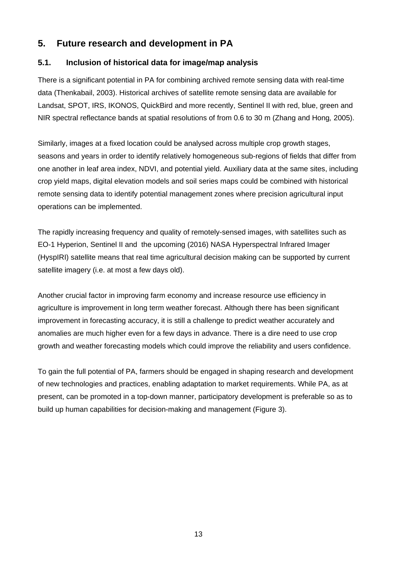## **5. Future research and development in PA**

### **5.1. Inclusion of historical data for image/map analysis**

There is a significant potential in PA for combining archived remote sensing data with real-time data (Thenkabail, 2003). Historical archives of satellite remote sensing data are available for Landsat, SPOT, IRS, IKONOS, QuickBird and more recently, Sentinel II with red, blue, green and NIR spectral reflectance bands at spatial resolutions of from 0.6 to 30 m (Zhang and Hong*,* 2005).

Similarly, images at a fixed location could be analysed across multiple crop growth stages, seasons and years in order to identify relatively homogeneous sub-regions of fields that differ from one another in leaf area index, NDVI, and potential yield. Auxiliary data at the same sites, including crop yield maps, digital elevation models and soil series maps could be combined with historical remote sensing data to identify potential management zones where precision agricultural input operations can be implemented.

The rapidly increasing frequency and quality of remotely-sensed images, with satellites such as EO-1 Hyperion, Sentinel II and the upcoming (2016) NASA Hyperspectral Infrared Imager (HyspIRI) satellite means that real time agricultural decision making can be supported by current satellite imagery (i.e. at most a few days old).

Another crucial factor in improving farm economy and increase resource use efficiency in agriculture is improvement in long term weather forecast. Although there has been significant improvement in forecasting accuracy, it is still a challenge to predict weather accurately and anomalies are much higher even for a few days in advance. There is a dire need to use crop growth and weather forecasting models which could improve the reliability and users confidence.

To gain the full potential of PA, farmers should be engaged in shaping research and development of new technologies and practices, enabling adaptation to market requirements. While PA, as at present, can be promoted in a top-down manner, participatory development is preferable so as to build up human capabilities for decision-making and management (Figure 3).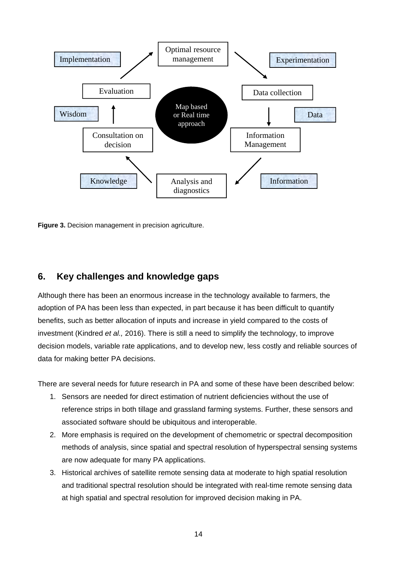

**Figure 3.** Decision management in precision agriculture.

## **6. Key challenges and knowledge gaps**

Although there has been an enormous increase in the technology available to farmers, the adoption of PA has been less than expected, in part because it has been difficult to quantify benefits, such as better allocation of inputs and increase in yield compared to the costs of investment (Kindred *et al.,* 2016). There is still a need to simplify the technology, to improve decision models, variable rate applications, and to develop new, less costly and reliable sources of data for making better PA decisions.

There are several needs for future research in PA and some of these have been described below:

- 1. Sensors are needed for direct estimation of nutrient deficiencies without the use of reference strips in both tillage and grassland farming systems. Further, these sensors and associated software should be ubiquitous and interoperable.
- 2. More emphasis is required on the development of chemometric or spectral decomposition methods of analysis, since spatial and spectral resolution of hyperspectral sensing systems are now adequate for many PA applications.
- 3. Historical archives of satellite remote sensing data at moderate to high spatial resolution and traditional spectral resolution should be integrated with real-time remote sensing data at high spatial and spectral resolution for improved decision making in PA.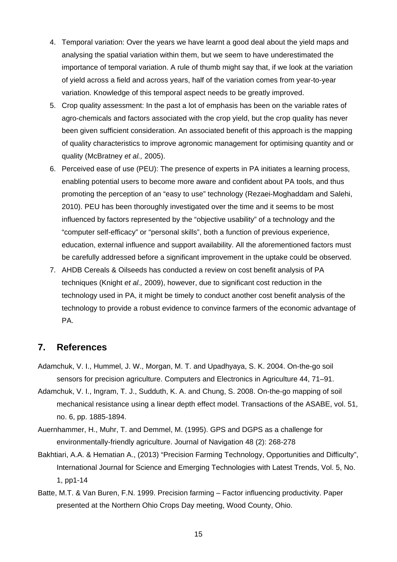- 4. Temporal variation: Over the years we have learnt a good deal about the yield maps and analysing the spatial variation within them, but we seem to have underestimated the importance of temporal variation. A rule of thumb might say that, if we look at the variation of yield across a field and across years, half of the variation comes from year-to-year variation. Knowledge of this temporal aspect needs to be greatly improved.
- 5. Crop quality assessment: In the past a lot of emphasis has been on the variable rates of agro-chemicals and factors associated with the crop yield, but the crop quality has never been given sufficient consideration. An associated benefit of this approach is the mapping of quality characteristics to improve agronomic management for optimising quantity and or quality (McBratney *et al.,* 2005).
- 6. Perceived ease of use (PEU): The presence of experts in PA initiates a learning process, enabling potential users to become more aware and confident about PA tools, and thus promoting the perception of an "easy to use" technology (Rezaei-Moghaddam and Salehi, 2010). PEU has been thoroughly investigated over the time and it seems to be most influenced by factors represented by the "objective usability" of a technology and the "computer self-efficacy" or "personal skills", both a function of previous experience, education, external influence and support availability. All the aforementioned factors must be carefully addressed before a significant improvement in the uptake could be observed.
- 7. AHDB Cereals & Oilseeds has conducted a review on cost benefit analysis of PA techniques (Knight *et al.,* 2009), however, due to significant cost reduction in the technology used in PA, it might be timely to conduct another cost benefit analysis of the technology to provide a robust evidence to convince farmers of the economic advantage of PA.

### **7. References**

- Adamchuk, V. I., Hummel, J. W., Morgan, M. T. and Upadhyaya, S. K. 2004. On-the-go soil sensors for precision agriculture. Computers and Electronics in Agriculture 44, 71–91.
- Adamchuk, V. I., Ingram, T. J., Sudduth, K. A. and Chung, S. 2008. On-the-go mapping of soil mechanical resistance using a linear depth effect model. Transactions of the ASABE, vol. 51, no. 6, pp. 1885-1894.
- Auernhammer, H., Muhr, T. and Demmel, M. (1995). GPS and DGPS as a challenge for environmentally-friendly agriculture. Journal of Navigation 48 (2): 268-278
- Bakhtiari, A.A. & Hematian A., (2013) "Precision Farming Technology, Opportunities and Difficulty", International Journal for Science and Emerging Technologies with Latest Trends, Vol. 5, No. 1, pp1-14
- Batte, M.T. & Van Buren, F.N. 1999. Precision farming Factor influencing productivity. Paper presented at the Northern Ohio Crops Day meeting, Wood County, Ohio.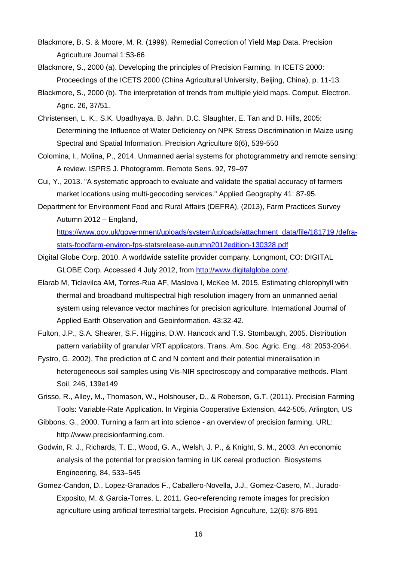- Blackmore, B. S. & Moore, M. R. (1999). Remedial Correction of Yield Map Data. Precision Agriculture Journal 1:53-66
- Blackmore, S., 2000 (a). Developing the principles of Precision Farming. In ICETS 2000: Proceedings of the ICETS 2000 (China Agricultural University, Beijing, China), p. 11-13.
- Blackmore, S., 2000 (b). The interpretation of trends from multiple yield maps. Comput. Electron. Agric. 26, 37/51.
- Christensen, L. K., S.K. Upadhyaya, B. Jahn, D.C. Slaughter, E. Tan and D. Hills, 2005: Determining the Influence of Water Deficiency on NPK Stress Discrimination in Maize using Spectral and Spatial Information. Precision Agriculture 6(6), 539-550
- Colomina, I., Molina, P., 2014. Unmanned aerial systems for photogrammetry and remote sensing: A review. ISPRS J. Photogramm. Remote Sens. 92, 79–97
- Cui, Y., 2013. "A systematic approach to evaluate and validate the spatial accuracy of farmers market locations using multi-geocoding services." Applied Geography 41: 87-95.
- Department for Environment Food and Rural Affairs (DEFRA), (2013), Farm Practices Survey Autumn 2012 – England,

https://www.gov.uk/government/uploads/system/uploads/attachment\_data/file/181719 /defrastats-foodfarm-environ-fps-statsrelease-autumn2012edition-130328.pdf

- Digital Globe Corp. 2010. A worldwide satellite provider company. Longmont, CO: DIGITAL GLOBE Corp. Accessed 4 July 2012, from http://www.digitalglobe.com/.
- Elarab M, Ticlavilca AM, Torres-Rua AF, Maslova I, McKee M. 2015. Estimating chlorophyll with thermal and broadband multispectral high resolution imagery from an unmanned aerial system using relevance vector machines for precision agriculture. International Journal of Applied Earth Observation and Geoinformation. 43:32-42.
- Fulton, J.P., S.A. Shearer, S.F. Higgins, D.W. Hancock and T.S. Stombaugh, 2005. Distribution pattern variability of granular VRT applicators. Trans. Am. Soc. Agric. Eng., 48: 2053-2064.
- Fystro, G. 2002). The prediction of C and N content and their potential mineralisation in heterogeneous soil samples using Vis-NIR spectroscopy and comparative methods. Plant Soil, 246, 139e149
- Grisso, R., Alley, M., Thomason, W., Holshouser, D., & Roberson, G.T. (2011). Precision Farming Tools: Variable-Rate Application. In Virginia Cooperative Extension, 442-505, Arlington, US
- Gibbons, G., 2000. Turning a farm art into science an overview of precision farming. URL: http://www.precisionfarming.com.
- Godwin, R. J., Richards, T. E., Wood, G. A., Welsh, J. P., & Knight, S. M., 2003. An economic analysis of the potential for precision farming in UK cereal production. Biosystems Engineering, 84, 533–545
- Gomez-Candon, D., Lopez-Granados F., Caballero-Novella, J.J., Gomez-Casero, M., Jurado-Exposito, M. & Garcia-Torres, L. 2011. Geo-referencing remote images for precision agriculture using artificial terrestrial targets. Precision Agriculture, 12(6): 876-891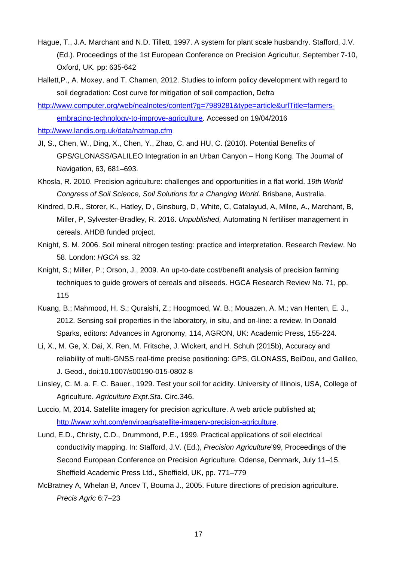- Hague, T., J.A. Marchant and N.D. Tillett, 1997. A system for plant scale husbandry. Stafford, J.V. (Ed.). Proceedings of the 1st European Conference on Precision Agricultur, September 7-10, Oxford, UK. pp: 635-642
- Hallett,P., A. Moxey, and T. Chamen, 2012. Studies to inform policy development with regard to soil degradation: Cost curve for mitigation of soil compaction, Defra

http://www.computer.org/web/nealnotes/content?g=7989281&type=article&urlTitle=farmersembracing-technology-to-improve-agriculture. Accessed on 19/04/2016

http://www.landis.org.uk/data/natmap.cfm

- JI, S., Chen, W., Ding, X., Chen, Y., Zhao, C. and HU, C. (2010). Potential Benefits of GPS/GLONASS/GALILEO Integration in an Urban Canyon – Hong Kong. The Journal of Navigation, 63, 681–693.
- Khosla, R. 2010. Precision agriculture: challenges and opportunities in a flat world. *19th World Congress of Soil Science, Soil Solutions for a Changing World*. Brisbane, Australia.
- Kindred, D.R., Storer, K., Hatley, D , Ginsburg, D , White, C, Catalayud, A, Milne, A., Marchant, B, Miller, P, Sylvester-Bradley, R. 2016. *Unpublished,* Automating N fertiliser management in cereals. AHDB funded project.
- Knight, S. M. 2006. Soil mineral nitrogen testing: practice and interpretation. Research Review. No 58. London: *HGCA* ss. 32
- Knight, S.; Miller, P.; Orson, J., 2009. An up-to-date cost/benefit analysis of precision farming techniques to guide growers of cereals and oilseeds. HGCA Research Review No. 71, pp. 115
- Kuang, B.; Mahmood, H. S.; Quraishi, Z.; Hoogmoed, W. B.; Mouazen, A. M.; van Henten, E. J., 2012. Sensing soil properties in the laboratory, in situ, and on-line: a review. In Donald Sparks, editors: Advances in Agronomy, 114, AGRON, UK: Academic Press, 155-224.
- Li, X., M. Ge, X. Dai, X. Ren, M. Fritsche, J. Wickert, and H. Schuh (2015b), Accuracy and reliability of multi-GNSS real-time precise positioning: GPS, GLONASS, BeiDou, and Galileo, J. Geod., doi:10.1007/s00190-015-0802-8
- Linsley, C. M. a. F. C. Bauer., 1929. Test your soil for acidity. University of Illinois, USA, College of Agriculture. *Agriculture Expt.Sta*. Circ.346.
- Luccio, M, 2014. Satellite imagery for precision agriculture. A web article published at; http://www.xyht.com/enviroag/satellite-imagery-precision-agriculture.
- Lund, E.D., Christy, C.D., Drummond, P.E., 1999. Practical applications of soil electrical conductivity mapping. In: Stafford, J.V. (Ed.), *Precision Agriculture*'99, Proceedings of the Second European Conference on Precision Agriculture. Odense, Denmark, July 11–15. Sheffield Academic Press Ltd., Sheffield, UK, pp. 771–779
- McBratney A, Whelan B, Ancev T, Bouma J., 2005. Future directions of precision agriculture. *Precis Agric* 6:7–23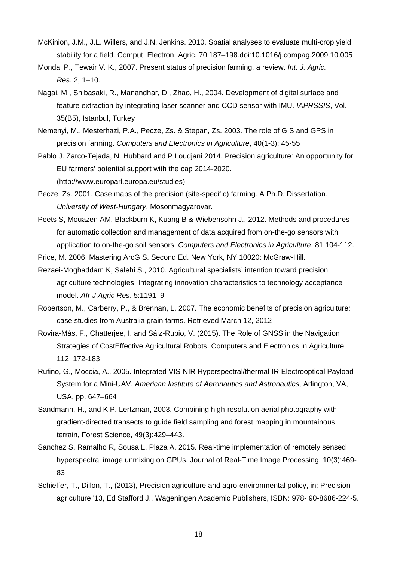- McKinion, J.M., J.L. Willers, and J.N. Jenkins. 2010. Spatial analyses to evaluate multi-crop yield stability for a field. Comput. Electron. Agric. 70:187–198.doi:10.1016/j.compag.2009.10.005
- Mondal P., Tewair V. K., 2007. Present status of precision farming, a review. *Int. J. Agric. Res*. 2, 1–10.
- Nagai, M., Shibasaki, R., Manandhar, D., Zhao, H., 2004. Development of digital surface and feature extraction by integrating laser scanner and CCD sensor with IMU. *IAPRSSIS*, Vol. 35(B5), Istanbul, Turkey
- Nemenyi, M., Mesterhazi, P.A., Pecze, Zs. & Stepan, Zs. 2003. The role of GIS and GPS in precision farming. *Computers and Electronics in Agriculture*, 40(1-3): 45-55
- Pablo J. Zarco-Tejada, N. Hubbard and P Loudjani 2014. Precision agriculture: An opportunity for EU farmers' potential support with the cap 2014-2020. (http://www.europarl.europa.eu/studies)
- Pecze, Zs. 2001. Case maps of the precision (site-specific) farming. A Ph.D. Dissertation. *University of West-Hungary*, Mosonmagyarovar.
- Peets S, Mouazen AM, Blackburn K, Kuang B & Wiebensohn J., 2012. Methods and procedures for automatic collection and management of data acquired from on-the-go sensors with application to on-the-go soil sensors. *Computers and Electronics in Agriculture*, 81 104-112.

Price, M. 2006. Mastering ArcGIS. Second Ed. New York, NY 10020: McGraw-Hill.

- Rezaei-Moghaddam K, Salehi S., 2010. Agricultural specialists' intention toward precision agriculture technologies: Integrating innovation characteristics to technology acceptance model. *Afr J Agric Res*. 5:1191–9
- Robertson, M., Carberry, P., & Brennan, L. 2007. The economic benefits of precision agriculture: case studies from Australia grain farms. Retrieved March 12, 2012
- Rovira-Más, F., Chatterjee, I. and Sáiz-Rubio, V. (2015). The Role of GNSS in the Navigation Strategies of CostEffective Agricultural Robots. Computers and Electronics in Agriculture, 112, 172-183
- Rufino, G., Moccia, A., 2005. Integrated VIS-NIR Hyperspectral/thermal-IR Electrooptical Payload System for a Mini-UAV. *American Institute of Aeronautics and Astronautics*, Arlington, VA, USA, pp. 647–664
- Sandmann, H., and K.P. Lertzman, 2003. Combining high-resolution aerial photography with gradient-directed transects to guide field sampling and forest mapping in mountainous terrain, Forest Science, 49(3):429–443.
- Sanchez S, Ramalho R, Sousa L, Plaza A. 2015. Real-time implementation of remotely sensed hyperspectral image unmixing on GPUs. Journal of Real-Time Image Processing. 10(3):469- 83
- Schieffer, T., Dillon, T., (2013), Precision agriculture and agro-environmental policy, in: Precision agriculture '13, Ed Stafford J., Wageningen Academic Publishers, ISBN: 978- 90-8686-224-5.